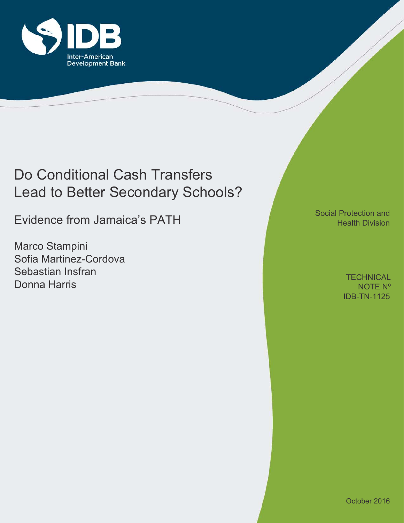

# Do Conditional Cash Transfers Lead to Better Secondary Schools?

Evidence from Jamaica's PATH

Marco Stampini Sofia Martinez-Cordova Sebastian Insfran Donna Harris

Social Protection and **Health Division** 

> IDB-TN-1125 **TECHNICAL** NOTE Nº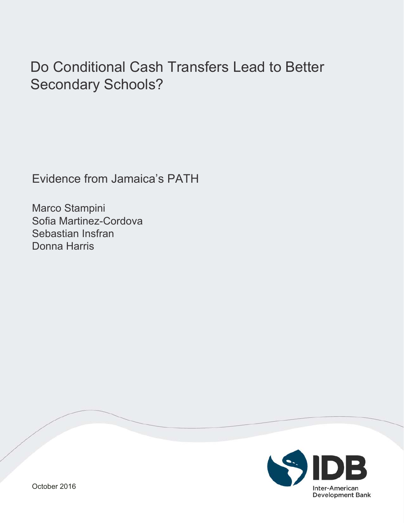# Do Conditional Cash Transfers Lead to Better Secondary Schools?

Evidence from Jamaica's PATH

Marco Stampini Sofia Martinez-Cordova Sebastian Insfran Donna Harris

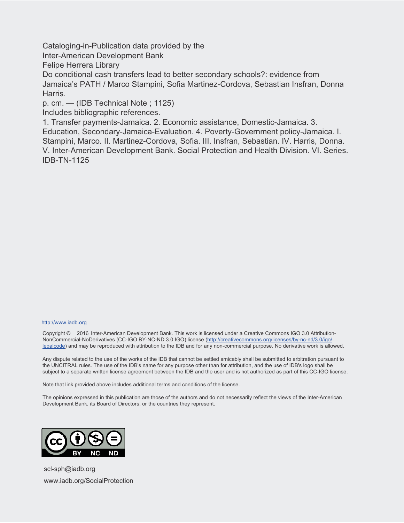Cataloging-in-Publication data provided by the

Inter-American Development Bank

Felipe Herrera Library

Do conditional cash transfers lead to better secondary schools?: evidence from Jamaica's PATH / Marco Stampini, Sofia Martinez-Cordova, Sebastian Insfran, Donna Harris.

p. cm. — (IDB Technical Note ; 1125)

Includes bibliographic references.

1. Transfer payments-Jamaica. 2. Economic assistance, Domestic-Jamaica. 3. Education, Secondary-Jamaica-Evaluation. 4. Poverty-Government policy-Jamaica. I. Stampini, Marco. II. Martinez-Cordova, Sofia. III. Insfran, Sebastian. IV. Harris, Donna. V. Inter-American Development Bank. Social Protection and Health Division. VI. Series. IDB-TN-1125

#### http://www.iadb.org

Copyright © 2016 Inter-American Development Bank. This work is licensed under a Creative Commons IGO 3.0 Attribution-NonCommercial-NoDerivatives (CC-IGO BY-NC-ND 3.0 IGO) license (http://creativecommons.org/licenses/by-nc-nd/3.0/igo/ legalcode) and may be reproduced with attribution to the IDB and for any non-commercial purpose. No derivative work is allowed.

Any dispute related to the use of the works of the IDB that cannot be settled amicably shall be submitted to arbitration pursuant to the UNCITRAL rules. The use of the IDB's name for any purpose other than for attribution, and the use of IDB's logo shall be subject to a separate written license agreement between the IDB and the user and is not authorized as part of this CC-IGO license.

Note that link provided above includes additional terms and conditions of the license.

The opinions expressed in this publication are those of the authors and do not necessarily reflect the views of the Inter-American Development Bank, its Board of Directors, or the countries they represent.



scl-sph@iadb.org www.iadb.org/SocialProtection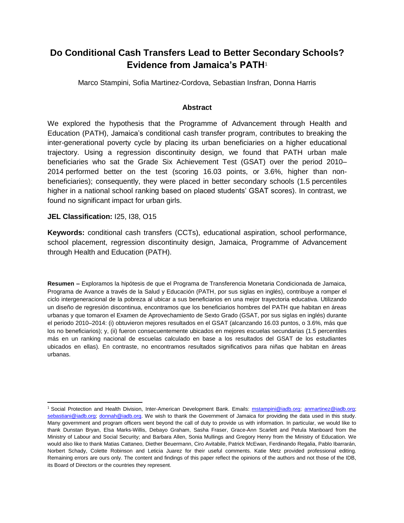## **Do Conditional Cash Transfers Lead to Better Secondary Schools? Evidence from Jamaica's PATH**<sup>1</sup>

Marco Stampini, Sofia Martinez-Cordova, Sebastian Insfran, Donna Harris

#### **Abstract**

We explored the hypothesis that the Programme of Advancement through Health and Education (PATH), Jamaica's conditional cash transfer program, contributes to breaking the inter-generational poverty cycle by placing its urban beneficiaries on a higher educational trajectory. Using a regression discontinuity design, we found that PATH urban male beneficiaries who sat the Grade Six Achievement Test (GSAT) over the period 2010– 2014 performed better on the test (scoring 16.03 points, or 3.6%, higher than nonbeneficiaries); consequently, they were placed in better secondary schools (1.5 percentiles higher in a national school ranking based on placed students' GSAT scores). In contrast, we found no significant impact for urban girls.

**JEL Classification:** I25, I38, O15

 $\overline{\phantom{a}}$ 

**Keywords:** conditional cash transfers (CCTs), educational aspiration, school performance, school placement, regression discontinuity design, Jamaica, Programme of Advancement through Health and Education (PATH).

**Resumen –** Exploramos la hipótesis de que el Programa de Transferencia Monetaria Condicionada de Jamaica, Programa de Avance a través de la Salud y Educación (PATH, por sus siglas en inglés), contribuye a romper el ciclo intergeneracional de la pobreza al ubicar a sus beneficiarios en una mejor trayectoria educativa. Utilizando un diseño de regresión discontinua, encontramos que los beneficiarios hombres del PATH que habitan en áreas urbanas y que tomaron el Examen de Aprovechamiento de Sexto Grado (GSAT, por sus siglas en inglés) durante el periodo 2010–2014: (i) obtuvieron mejores resultados en el GSAT (alcanzando 16.03 puntos, o 3.6%, más que los no beneficiarios); y, (ii) fueron consecuentemente ubicados en mejores escuelas secundarias (1.5 percentiles más en un ranking nacional de escuelas calculado en base a los resultados del GSAT de los estudiantes ubicados en ellas). En contraste, no encontramos resultados significativos para niñas que habitan en áreas urbanas.

<sup>1</sup> Social Protection and Health Division, Inter-American Development Bank. Emails: [mstampini@iadb.org;](mailto:mstampini@iadb.org) [anmartinez@iadb.org;](mailto:anmartinez@iadb.org) [sebastiani@iadb.org;](mailto:sebastiani@iadb.org) [donnah@iadb.org.](mailto:donnah@iadb.org) We wish to thank the Government of Jamaica for providing the data used in this study. Many government and program officers went beyond the call of duty to provide us with information. In particular, we would like to thank Dunstan Bryan, Elsa Marks-Willis, Debayo Graham, Sasha Fraser, Grace-Ann Scarlett and Petula Manboard from the Ministry of Labour and Social Security; and Barbara Allen, Sonia Mullings and Gregory Henry from the Ministry of Education. We would also like to thank Matias Cattaneo, Diether Beuermann, Ciro Avitabile, Patrick McEwan, Ferdinando Regalia, Pablo Ibarrarán, Norbert Schady, Colette Robinson and Leticia Juarez for their useful comments. Katie Metz provided professional editing. Remaining errors are ours only. The content and findings of this paper reflect the opinions of the authors and not those of the IDB, its Board of Directors or the countries they represent.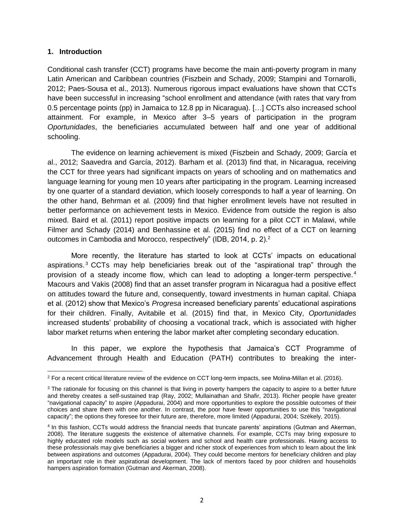#### **1. Introduction**

 $\overline{\phantom{a}}$ 

Conditional cash transfer (CCT) programs have become the main anti-poverty program in many Latin American and Caribbean countries (Fiszbein and Schady, 2009; Stampini and Tornarolli, 2012; Paes-Sousa et al., 2013). Numerous rigorous impact evaluations have shown that CCTs have been successful in increasing "school enrollment and attendance (with rates that vary from 0.5 percentage points (pp) in Jamaica to 12.8 pp in Nicaragua). […] CCTs also increased school attainment. For example, in Mexico after 3–5 years of participation in the program *Oportunidades*, the beneficiaries accumulated between half and one year of additional schooling.

The evidence on learning achievement is mixed (Fiszbein and Schady, 2009; García et al., 2012; Saavedra and García, 2012). Barham et al. (2013) find that, in Nicaragua, receiving the CCT for three years had significant impacts on years of schooling and on mathematics and language learning for young men 10 years after participating in the program. Learning increased by one quarter of a standard deviation, which loosely corresponds to half a year of learning. On the other hand, Behrman et al. (2009) find that higher enrollment levels have not resulted in better performance on achievement tests in Mexico. Evidence from outside the region is also mixed. Baird et al. (2011) report positive impacts on learning for a pilot CCT in Malawi, while Filmer and Schady (2014) and Benhassine et al. (2015) find no effect of a CCT on learning outcomes in Cambodia and Morocco, respectively" (IDB, 2014, p. 2).<sup>2</sup>

More recently, the literature has started to look at CCTs' impacts on educational aspirations. <sup>3</sup> CCTs may help beneficiaries break out of the "aspirational trap" through the provision of a steady income flow, which can lead to adopting a longer-term perspective.<sup>4</sup> Macours and Vakis (2008) find that an asset transfer program in Nicaragua had a positive effect on attitudes toward the future and, consequently, toward investments in human capital. Chiapa et al. (2012) show that Mexico's *Progresa* increased beneficiary parents' educational aspirations for their children. Finally, Avitabile et al. (2015) find that, in Mexico City, *Oportunidades* increased students' probability of choosing a vocational track, which is associated with higher labor market returns when entering the labor market after completing secondary education.

In this paper, we explore the hypothesis that Jamaica's CCT Programme of Advancement through Health and Education (PATH) contributes to breaking the inter-

 $2$  For a recent critical literature review of the evidence on CCT long-term impacts, see Molina-Millan et al. (2016).

<sup>&</sup>lt;sup>3</sup> The rationale for focusing on this channel is that living in poverty hampers the capacity to aspire to a better future and thereby creates a self-sustained trap (Ray, 2002; Mullainathan and Shafir, 2013). Richer people have greater "navigational capacity" to aspire (Appadurai, 2004) and more opportunities to explore the possible outcomes of their choices and share them with one another. In contrast, the poor have fewer opportunities to use this "navigational capacity"; the options they foresee for their future are, therefore, more limited (Appadurai, 2004; Székely, 2015).

<sup>4</sup> In this fashion, CCTs would address the financial needs that truncate parents' aspirations (Gutman and Akerman, 2008). The literature suggests the existence of alternative channels. For example, CCTs may bring exposure to highly educated role models such as social workers and school and health care professionals. Having access to these professionals may give beneficiaries a bigger and richer stock of experiences from which to learn about the link between aspirations and outcomes (Appadurai, 2004). They could become mentors for beneficiary children and play an important role in their aspirational development. The lack of mentors faced by poor children and households hampers aspiration formation (Gutman and Akerman, 2008).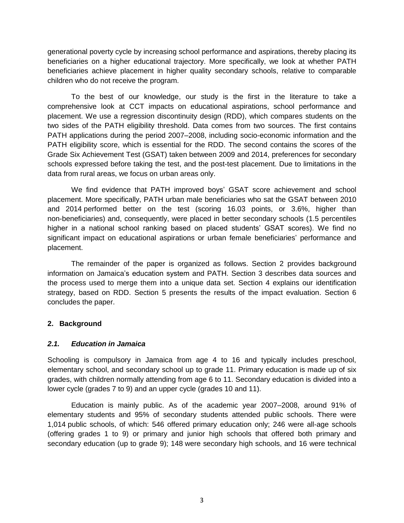generational poverty cycle by increasing school performance and aspirations, thereby placing its beneficiaries on a higher educational trajectory. More specifically, we look at whether PATH beneficiaries achieve placement in higher quality secondary schools, relative to comparable children who do not receive the program.

To the best of our knowledge, our study is the first in the literature to take a comprehensive look at CCT impacts on educational aspirations, school performance and placement. We use a regression discontinuity design (RDD), which compares students on the two sides of the PATH eligibility threshold. Data comes from two sources. The first contains PATH applications during the period 2007–2008, including socio-economic information and the PATH eligibility score, which is essential for the RDD. The second contains the scores of the Grade Six Achievement Test (GSAT) taken between 2009 and 2014, preferences for secondary schools expressed before taking the test, and the post-test placement. Due to limitations in the data from rural areas, we focus on urban areas only.

We find evidence that PATH improved boys' GSAT score achievement and school placement. More specifically, PATH urban male beneficiaries who sat the GSAT between 2010 and 2014 performed better on the test (scoring 16.03 points, or 3.6%, higher than non-beneficiaries) and, consequently, were placed in better secondary schools (1.5 percentiles higher in a national school ranking based on placed students' GSAT scores). We find no significant impact on educational aspirations or urban female beneficiaries' performance and placement.

The remainder of the paper is organized as follows. Section 2 provides background information on Jamaica's education system and PATH. Section 3 describes data sources and the process used to merge them into a unique data set. Section 4 explains our identification strategy, based on RDD. Section 5 presents the results of the impact evaluation. Section 6 concludes the paper.

## **2. Background**

## *2.1. Education in Jamaica*

Schooling is compulsory in Jamaica from age 4 to 16 and typically includes preschool, elementary school, and secondary school up to grade 11. Primary education is made up of six grades, with children normally attending from age 6 to 11. Secondary education is divided into a lower cycle (grades 7 to 9) and an upper cycle (grades 10 and 11).

Education is mainly public. As of the academic year 2007–2008, around 91% of elementary students and 95% of secondary students attended public schools. There were 1,014 public schools, of which: 546 offered primary education only; 246 were all-age schools (offering grades 1 to 9) or primary and junior high schools that offered both primary and secondary education (up to grade 9); 148 were secondary high schools, and 16 were technical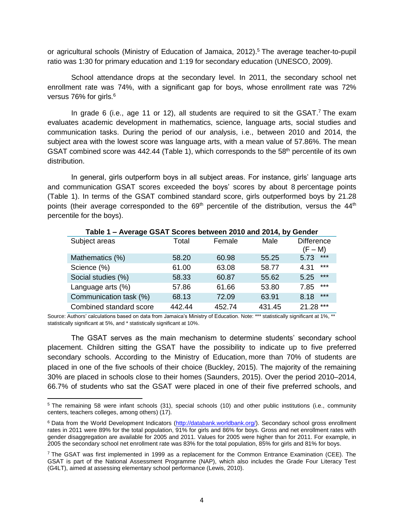or agricultural schools (Ministry of Education of Jamaica, 2012).<sup>5</sup> The average teacher-to-pupil ratio was 1:30 for primary education and 1:19 for secondary education (UNESCO, 2009).

School attendance drops at the secondary level. In 2011, the secondary school net enrollment rate was 74%, with a significant gap for boys, whose enrollment rate was 72% versus 76% for girls.<sup>6</sup>

In grade 6 (i.e., age 11 or 12), all students are required to sit the GSAT.<sup>7</sup> The exam evaluates academic development in mathematics, science, language arts, social studies and communication tasks. During the period of our analysis, i.e., between 2010 and 2014, the subject area with the lowest score was language arts, with a mean value of 57.86%. The mean GSAT combined score was 442.44 (Table 1), which corresponds to the  $58<sup>th</sup>$  percentile of its own distribution.

In general, girls outperform boys in all subject areas. For instance, girls' language arts and communication GSAT scores exceeded the boys' scores by about 8 percentage points (Table 1). In terms of the GSAT combined standard score, girls outperformed boys by 21.28 points (their average corresponded to the 69<sup>th</sup> percentile of the distribution, versus the 44<sup>th</sup> percentile for the boys).

| Table 1 – Average GSAT Scores between 2010 and 2014, by Gender |        |        |        |                              |  |  |  |
|----------------------------------------------------------------|--------|--------|--------|------------------------------|--|--|--|
| Subject areas                                                  | Total  | Female | Male   | <b>Difference</b><br>(F – M) |  |  |  |
| Mathematics (%)                                                | 58.20  | 60.98  | 55.25  | $***$<br>5.73                |  |  |  |
| Science (%)                                                    | 61.00  | 63.08  | 58.77  | $***$<br>4.31                |  |  |  |
| Social studies (%)                                             | 58.33  | 60.87  | 55.62  | $***$<br>5.25                |  |  |  |
| Language arts (%)                                              | 57.86  | 61.66  | 53.80  | $***$<br>7.85                |  |  |  |
| Communication task (%)                                         | 68.13  | 72.09  | 63.91  | $***$<br>8.18                |  |  |  |
| Combined standard score                                        | 442.44 | 452.74 | 431.45 | $21.28$ ***                  |  |  |  |

Source: Authors' calculations based on data from Jamaica's Ministry of Education. Note: \*\*\* statistically significant at 1%, \*\* statistically significant at 5%, and \* statistically significant at 10%.

The GSAT serves as the main mechanism to determine students' secondary school placement. Children sitting the GSAT have the possibility to indicate up to five preferred secondary schools. According to the Ministry of Education, more than 70% of students are placed in one of the five schools of their choice (Buckley, 2015). The majority of the remaining 30% are placed in schools close to their homes (Saunders, 2015). Over the period 2010–2014, 66.7% of students who sat the GSAT were placed in one of their five preferred schools, and

 $\overline{\phantom{a}}$ 

<sup>5</sup> The remaining 58 were infant schools (31), special schools (10) and other public institutions (i.e., community centers, teachers colleges, among others) (17).

<sup>&</sup>lt;sup>6</sup> Data from the World Development Indicators [\(http://databank.worldbank.org/\)](http://databank.worldbank.org/). Secondary school gross enrollment rates in 2011 were 89% for the total population, 91% for girls and 86% for boys. Gross and net enrollment rates with gender disaggregation are available for 2005 and 2011. Values for 2005 were higher than for 2011. For example, in 2005 the secondary school net enrollment rate was 83% for the total population, 85% for girls and 81% for boys.

<sup>7</sup> The GSAT was first implemented in 1999 as a replacement for the Common Entrance Examination (CEE). The GSAT is part of the National Assessment Programme (NAP), which also includes the Grade Four Literacy Test (G4LT), aimed at assessing elementary school performance (Lewis, 2010).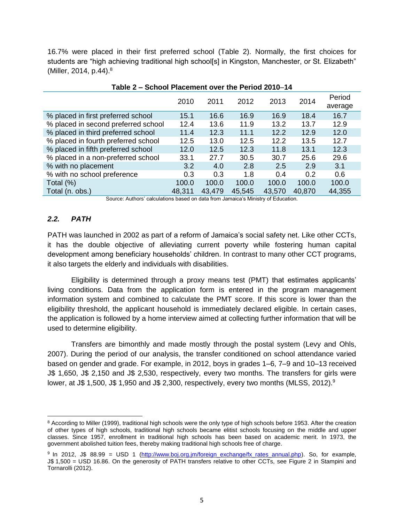16.7% were placed in their first preferred school (Table 2). Normally, the first choices for students are "high achieving traditional high school[s] in Kingston, Manchester, or St. Elizabeth" (Miller, 2014, p.44).<sup>8</sup>

|                                     | rapie z – Schoor Placement over the Period Zu IV–14 $\,$ |        |        |        |        |                   |  |
|-------------------------------------|----------------------------------------------------------|--------|--------|--------|--------|-------------------|--|
|                                     | 2010                                                     | 2011   | 2012   | 2013   | 2014   | Period<br>average |  |
| % placed in first preferred school  | 15.1                                                     | 16.6   | 16.9   | 16.9   | 18.4   | 16.7              |  |
| % placed in second preferred school | 12.4                                                     | 13.6   | 11.9   | 13.2   | 13.7   | 12.9              |  |
| % placed in third preferred school  | 11.4                                                     | 12.3   | 11.1   | 12.2   | 12.9   | 12.0              |  |
| % placed in fourth preferred school | 12.5                                                     | 13.0   | 12.5   | 12.2   | 13.5   | 12.7              |  |
| % placed in fifth preferred school  | 12.0                                                     | 12.5   | 12.3   | 11.8   | 13.1   | 12.3              |  |
| % placed in a non-preferred school  | 33.1                                                     | 27.7   | 30.5   | 30.7   | 25.6   | 29.6              |  |
| % with no placement                 | 3.2                                                      | 4.0    | 2.8    | 2.5    | 2.9    | 3.1               |  |
| % with no school preference         | 0.3                                                      | 0.3    | 1.8    | 0.4    | 0.2    | 0.6               |  |
| Total $(\%)$                        | 100.0                                                    | 100.0  | 100.0  | 100.0  | 100.0  | 100.0             |  |
| Total (n. obs.)                     | 48,311                                                   | 43,479 | 45,545 | 43,570 | 40,870 | 44,355            |  |

**Table 2 – School Placement over the Period 2010**–**14**

Source: Authors' calculations based on data from Jamaica's Ministry of Education.

## *2.2. PATH*

 $\overline{a}$ 

PATH was launched in 2002 as part of a reform of Jamaica's social safety net. Like other CCTs, it has the double objective of alleviating current poverty while fostering human capital development among beneficiary households' children. In contrast to many other CCT programs, it also targets the elderly and individuals with disabilities.

Eligibility is determined through a proxy means test (PMT) that estimates applicants' living conditions. Data from the application form is entered in the program management information system and combined to calculate the PMT score. If this score is lower than the eligibility threshold, the applicant household is immediately declared eligible. In certain cases, the application is followed by a home interview aimed at collecting further information that will be used to determine eligibility.

Transfers are bimonthly and made mostly through the postal system (Levy and Ohls, 2007). During the period of our analysis, the transfer conditioned on school attendance varied based on gender and grade. For example, in 2012, boys in grades 1–6, 7–9 and 10–13 received J\$ 1,650, J\$ 2,150 and J\$ 2,530, respectively, every two months. The transfers for girls were lower, at J\$ 1,500, J\$ 1,950 and J\$ 2,300, respectively, every two months (MLSS, 2012). $9$ 

<sup>8</sup> According to Miller (1999), traditional high schools were the only type of high schools before 1953. After the creation of other types of high schools, traditional high schools became elitist schools focusing on the middle and upper classes. Since 1957, enrollment in traditional high schools has been based on academic merit. In 1973, the government abolished tuition fees, thereby making traditional high schools free of charge.

<sup>&</sup>lt;sup>9</sup> In 2012, J\$ 88.99 = USD 1 [\(http://www.boj.org.jm/foreign\\_exchange/fx\\_rates\\_annual.php\)](http://www.boj.org.jm/foreign_exchange/fx_rates_annual.php). So, for example, J\$ 1,500 = USD 16.86. On the generosity of PATH transfers relative to other CCTs, see Figure 2 in Stampini and Tornarolli (2012).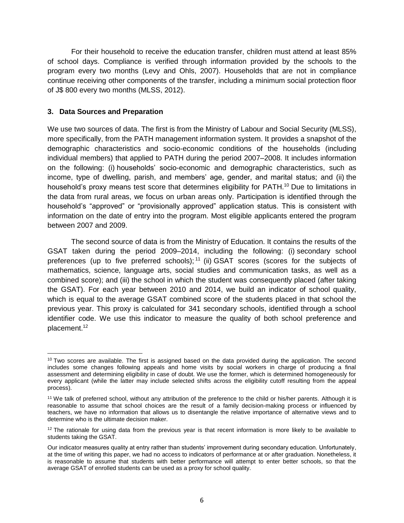For their household to receive the education transfer, children must attend at least 85% of school days. Compliance is verified through information provided by the schools to the program every two months (Levy and Ohls, 2007). Households that are not in compliance continue receiving other components of the transfer, including a minimum social protection floor of J\$ 800 every two months (MLSS, 2012).

## **3. Data Sources and Preparation**

We use two sources of data. The first is from the Ministry of Labour and Social Security (MLSS), more specifically, from the PATH management information system. It provides a snapshot of the demographic characteristics and socio-economic conditions of the households (including individual members) that applied to PATH during the period 2007–2008. It includes information on the following: (i) households' socio-economic and demographic characteristics, such as income, type of dwelling, parish, and members' age, gender, and marital status; and (ii) the household's proxy means test score that determines eligibility for PATH.<sup>10</sup> Due to limitations in the data from rural areas, we focus on urban areas only. Participation is identified through the household's "approved" or "provisionally approved" application status. This is consistent with information on the date of entry into the program. Most eligible applicants entered the program between 2007 and 2009.

The second source of data is from the Ministry of Education. It contains the results of the GSAT taken during the period 2009–2014, including the following: (i) secondary school preferences (up to five preferred schools);<sup>11</sup> (ii) GSAT scores (scores for the subjects of mathematics, science, language arts, social studies and communication tasks, as well as a combined score); and (iii) the school in which the student was consequently placed (after taking the GSAT). For each year between 2010 and 2014, we build an indicator of school quality, which is equal to the average GSAT combined score of the students placed in that school the previous year. This proxy is calculated for 341 secondary schools, identified through a school identifier code. We use this indicator to measure the quality of both school preference and placement.<sup>12</sup>

 $\overline{a}$  $10$  Two scores are available. The first is assigned based on the data provided during the application. The second includes some changes following appeals and home visits by social workers in charge of producing a final assessment and determining eligibility in case of doubt. We use the former, which is determined homogeneously for every applicant (while the latter may include selected shifts across the eligibility cutoff resulting from the appeal process).

<sup>&</sup>lt;sup>11</sup> We talk of preferred school, without any attribution of the preference to the child or his/her parents. Although it is reasonable to assume that school choices are the result of a family decision-making process or influenced by teachers, we have no information that allows us to disentangle the relative importance of alternative views and to determine who is the ultimate decision maker.

 $12$  The rationale for using data from the previous year is that recent information is more likely to be available to students taking the GSAT.

Our indicator measures quality at entry rather than students' improvement during secondary education. Unfortunately, at the time of writing this paper, we had no access to indicators of performance at or after graduation. Nonetheless, it is reasonable to assume that students with better performance will attempt to enter better schools, so that the average GSAT of enrolled students can be used as a proxy for school quality.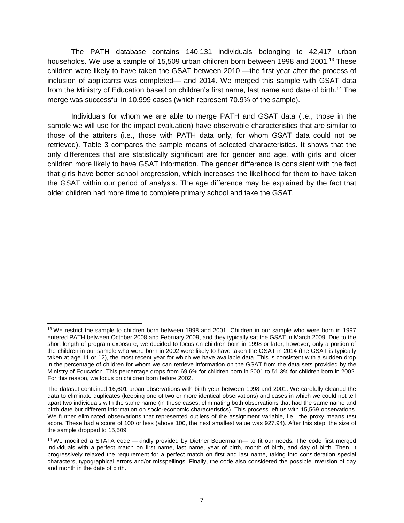The PATH database contains 140,131 individuals belonging to 42,417 urban households. We use a sample of 15,509 urban children born between 1998 and 2001.<sup>13</sup> These children were likely to have taken the GSAT between 2010 —the first year after the process of inclusion of applicants was completed— and 2014. We merged this sample with GSAT data from the Ministry of Education based on children's first name, last name and date of birth.<sup>14</sup> The merge was successful in 10,999 cases (which represent 70.9% of the sample).

Individuals for whom we are able to merge PATH and GSAT data (i.e., those in the sample we will use for the impact evaluation) have observable characteristics that are similar to those of the attriters (i.e., those with PATH data only, for whom GSAT data could not be retrieved). Table 3 compares the sample means of selected characteristics. It shows that the only differences that are statistically significant are for gender and age, with girls and older children more likely to have GSAT information. The gender difference is consistent with the fact that girls have better school progression, which increases the likelihood for them to have taken the GSAT within our period of analysis. The age difference may be explained by the fact that older children had more time to complete primary school and take the GSAT.

 $\overline{a}$ <sup>13</sup> We restrict the sample to children born between 1998 and 2001. Children in our sample who were born in 1997 entered PATH between October 2008 and February 2009, and they typically sat the GSAT in March 2009. Due to the short length of program exposure, we decided to focus on children born in 1998 or later; however, only a portion of the children in our sample who were born in 2002 were likely to have taken the GSAT in 2014 (the GSAT is typically taken at age 11 or 12), the most recent year for which we have available data. This is consistent with a sudden drop in the percentage of children for whom we can retrieve information on the GSAT from the data sets provided by the Ministry of Education. This percentage drops from 69.6% for children born in 2001 to 51.3% for children born in 2002. For this reason, we focus on children born before 2002.

The dataset contained 16,601 urban observations with birth year between 1998 and 2001. We carefully cleaned the data to eliminate duplicates (keeping one of two or more identical observations) and cases in which we could not tell apart two individuals with the same name (in these cases, eliminating both observations that had the same name and birth date but different information on socio-economic characteristics). This process left us with 15,569 observations. We further eliminated observations that represented outliers of the assignment variable, i.e., the proxy means test score. These had a score of 100 or less (above 100, the next smallest value was 927.94). After this step, the size of the sample dropped to 15,509.

<sup>&</sup>lt;sup>14</sup> We modified a STATA code —kindly provided by Diether Beuermann— to fit our needs. The code first merged individuals with a perfect match on first name, last name, year of birth, month of birth, and day of birth. Then, it progressively relaxed the requirement for a perfect match on first and last name, taking into consideration special characters, typographical errors and/or misspellings. Finally, the code also considered the possible inversion of day and month in the date of birth.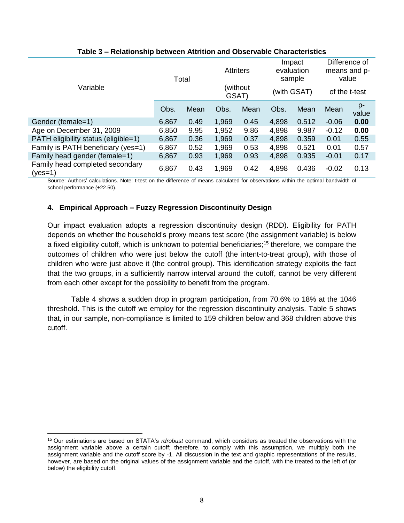|                                              | Total |      | <b>Attriters</b><br>(without<br>GSAT) |      | Impact<br>evaluation<br>sample |       | Difference of<br>means and p-<br>value |               |
|----------------------------------------------|-------|------|---------------------------------------|------|--------------------------------|-------|----------------------------------------|---------------|
| Variable                                     |       |      |                                       |      | (with GSAT)                    |       | of the t-test                          |               |
|                                              | Obs.  | Mean | Obs.                                  | Mean | Obs.                           | Mean  | Mean                                   | $p-$<br>value |
| Gender (female=1)                            | 6,867 | 0.49 | 1,969                                 | 0.45 | 4,898                          | 0.512 | $-0.06$                                | 0.00          |
| Age on December 31, 2009                     | 6,850 | 9.95 | 1,952                                 | 9.86 | 4,898                          | 9.987 | $-0.12$                                | 0.00          |
| PATH eligibility status (eligible=1)         | 6,867 | 0.36 | 1,969                                 | 0.37 | 4,898                          | 0.359 | 0.01                                   | 0.55          |
| Family is PATH beneficiary (yes=1)           | 6,867 | 0.52 | 1,969                                 | 0.53 | 4,898                          | 0.521 | 0.01                                   | 0.57          |
| Family head gender (female=1)                | 6,867 | 0.93 | 1,969                                 | 0.93 | 4,898                          | 0.935 | $-0.01$                                | 0.17          |
| Family head completed secondary<br>$(yes=1)$ | 6,867 | 0.43 | 1,969                                 | 0.42 | 4,898                          | 0.436 | $-0.02$                                | 0.13          |

## **Table 3 – Relationship between Attrition and Observable Characteristics**

Source: Authors' calculations. Note: t-test on the difference of means calculated for observations within the optimal bandwidth of school performance (±22.50).

## **4. Empirical Approach – Fuzzy Regression Discontinuity Design**

Our impact evaluation adopts a regression discontinuity design (RDD). Eligibility for PATH depends on whether the household's proxy means test score (the assignment variable) is below a fixed eligibility cutoff, which is unknown to potential beneficiaries; <sup>15</sup> therefore, we compare the outcomes of children who were just below the cutoff (the intent-to-treat group), with those of children who were just above it (the control group). This identification strategy exploits the fact that the two groups, in a sufficiently narrow interval around the cutoff, cannot be very different from each other except for the possibility to benefit from the program.

Table 4 shows a sudden drop in program participation, from 70.6% to 18% at the 1046 threshold. This is the cutoff we employ for the regression discontinuity analysis. Table 5 shows that, in our sample, non-compliance is limited to 159 children below and 368 children above this cutoff.

l <sup>15</sup> Our estimations are based on STATA's *rdrobust* command, which considers as treated the observations with the assignment variable above a certain cutoff; therefore, to comply with this assumption, we multiply both the assignment variable and the cutoff score by -1. All discussion in the text and graphic representations of the results, however, are based on the original values of the assignment variable and the cutoff, with the treated to the left of (or below) the eligibility cutoff.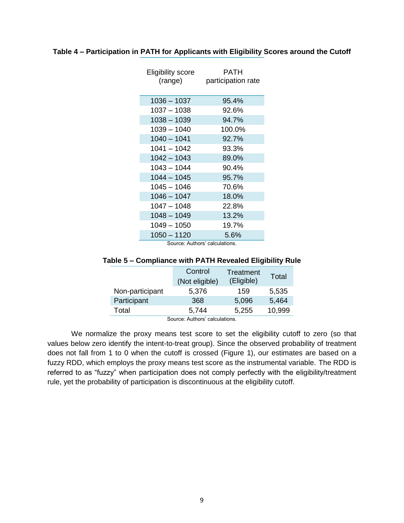| Eligibility score<br>(range) | PATH<br>participation rate |
|------------------------------|----------------------------|
| 1036 - 1037                  | 95.4%                      |
| 1037 - 1038                  | 92.6%                      |
| 1038 - 1039                  | 94.7%                      |
| 1039 - 1040                  | 100.0%                     |
| $1040 - 1041$                | 92.7%                      |
| 1041 – 1042                  | 93.3%                      |
| $1042 - 1043$                | 89.0%                      |
| $1043 - 1044$                | 90.4%                      |
| $1044 - 1045$                | 95.7%                      |
| 1045 - 1046                  | 70.6%                      |
| $1046 - 1047$                | 18.0%                      |
| 1047 - 1048                  | 22.8%                      |
| $1048 - 1049$                | 13.2%                      |
| 1049 - 1050                  | 19.7%                      |
| $1050 - 1120$                | 5.6%                       |

## **Table 4 – Participation in PATH for Applicants with Eligibility Scores around the Cutoff**

Source: Authors' calculations.

#### **Table 5 – Compliance with PATH Revealed Eligibility Rule**

|                 | Control<br>(Not eligible) | Treatment<br>(Eligible) | Total  |
|-----------------|---------------------------|-------------------------|--------|
| Non-participant | 5,376                     | 159                     | 5,535  |
| Participant     | 368                       | 5,096                   | 5,464  |
| Total           | 5,744                     | 5,255                   | 10,999 |

Source: Authors' calculations.

We normalize the proxy means test score to set the eligibility cutoff to zero (so that values below zero identify the intent-to-treat group). Since the observed probability of treatment does not fall from 1 to 0 when the cutoff is crossed (Figure 1), our estimates are based on a fuzzy RDD, which employs the proxy means test score as the instrumental variable. The RDD is referred to as "fuzzy" when participation does not comply perfectly with the eligibility/treatment rule, yet the probability of participation is discontinuous at the eligibility cutoff.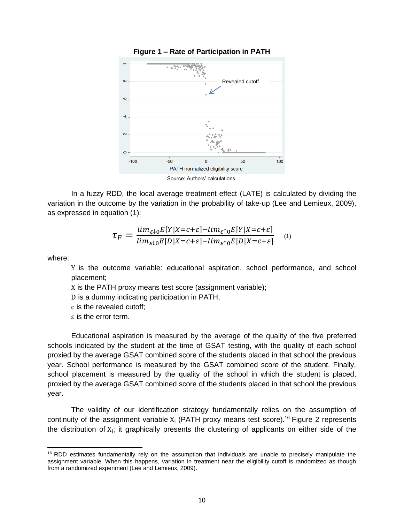

#### **Figure 1 – Rate of Participation in PATH**

In a fuzzy RDD, the local average treatment effect (LATE) is calculated by dividing the variation in the outcome by the variation in the probability of take-up (Lee and Lemieux, 2009), as expressed in equation (1):

$$
\tau_F = \frac{\lim_{\varepsilon \downarrow 0} E[Y|X=c+\varepsilon] - \lim_{\varepsilon \uparrow 0} E[Y|X=c+\varepsilon]}{\lim_{\varepsilon \downarrow 0} E[D|X=c+\varepsilon] - \lim_{\varepsilon \uparrow 0} E[D|X=c+\varepsilon]} \tag{1}
$$

where:

l

Y is the outcome variable: educational aspiration, school performance, and school placement;

X is the PATH proxy means test score (assignment variable);

D is a dummy indicating participation in PATH;

c is the revealed cutoff;

ε is the error term.

Educational aspiration is measured by the average of the quality of the five preferred schools indicated by the student at the time of GSAT testing, with the quality of each school proxied by the average GSAT combined score of the students placed in that school the previous year. School performance is measured by the GSAT combined score of the student. Finally, school placement is measured by the quality of the school in which the student is placed, proxied by the average GSAT combined score of the students placed in that school the previous year.

The validity of our identification strategy fundamentally relies on the assumption of continuity of the assignment variable  $X_i$  (PATH proxy means test score).<sup>16</sup> Figure 2 represents the distribution of  $X_i$ ; it graphically presents the clustering of applicants on either side of the

<sup>&</sup>lt;sup>16</sup> RDD estimates fundamentally rely on the assumption that individuals are unable to precisely manipulate the assignment variable. When this happens, variation in treatment near the eligibility cutoff is randomized as though from a randomized experiment (Lee and Lemieux, 2009).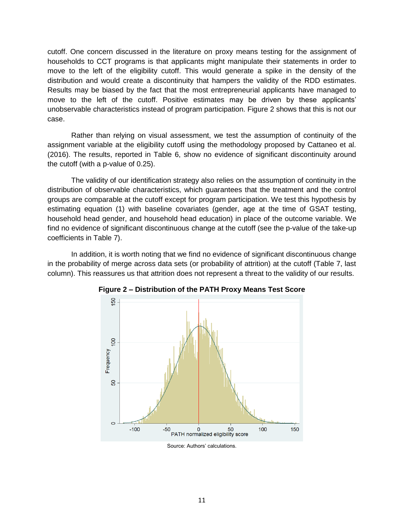cutoff. One concern discussed in the literature on proxy means testing for the assignment of households to CCT programs is that applicants might manipulate their statements in order to move to the left of the eligibility cutoff. This would generate a spike in the density of the distribution and would create a discontinuity that hampers the validity of the RDD estimates. Results may be biased by the fact that the most entrepreneurial applicants have managed to move to the left of the cutoff. Positive estimates may be driven by these applicants' unobservable characteristics instead of program participation. Figure 2 shows that this is not our case.

Rather than relying on visual assessment, we test the assumption of continuity of the assignment variable at the eligibility cutoff using the methodology proposed by Cattaneo et al. (2016). The results, reported in Table 6, show no evidence of significant discontinuity around the cutoff (with a p-value of 0.25).

The validity of our identification strategy also relies on the assumption of continuity in the distribution of observable characteristics, which guarantees that the treatment and the control groups are comparable at the cutoff except for program participation. We test this hypothesis by estimating equation (1) with baseline covariates (gender, age at the time of GSAT testing, household head gender, and household head education) in place of the outcome variable. We find no evidence of significant discontinuous change at the cutoff (see the p-value of the take-up coefficients in Table 7).

In addition, it is worth noting that we find no evidence of significant discontinuous change in the probability of merge across data sets (or probability of attrition) at the cutoff (Table 7, last column). This reassures us that attrition does not represent a threat to the validity of our results.



**Figure 2 – Distribution of the PATH Proxy Means Test Score**

Source: Authors' calculations.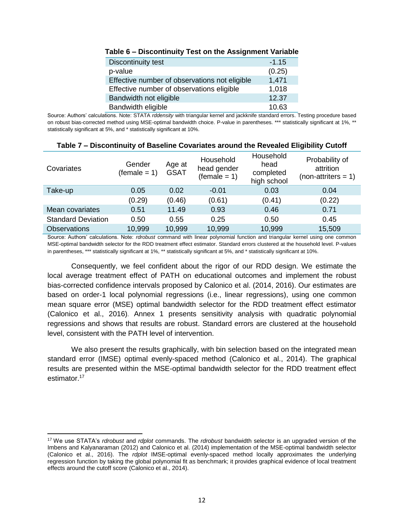| <b>Discontinuity test</b>                     | $-1.15$ |
|-----------------------------------------------|---------|
| p-value                                       | (0.25)  |
| Effective number of observations not eligible | 1,471   |
| Effective number of observations eligible     | 1,018   |
| Bandwidth not eligible                        | 12.37   |
| Bandwidth eligible                            | 10.63   |

### **Table 6 – Discontinuity Test on the Assignment Variable**

Source: Authors' calculations. Note: STATA *rddensity* with triangular kernel and jackknife standard errors. Testing procedure based on robust bias-corrected method using MSE-optimal bandwidth choice. P-value in parentheses. \*\*\* statistically significant at 1%, \*\* statistically significant at 5%, and \* statistically significant at 10%.

| Covariates                | Gender<br>$(female = 1)$ | Age at<br><b>GSAT</b> | Household<br>head gender<br>$(female = 1)$ | Household<br>head<br>completed<br>high school | Probability of<br>attrition<br>(non-attriters = 1) |
|---------------------------|--------------------------|-----------------------|--------------------------------------------|-----------------------------------------------|----------------------------------------------------|
| Take-up                   | 0.05                     | 0.02                  | $-0.01$                                    | 0.03                                          | 0.04                                               |
|                           | (0.29)                   | (0.46)                | (0.61)                                     | (0.41)                                        | (0.22)                                             |
| Mean covariates           | 0.51                     | 11.49                 | 0.93                                       | 0.46                                          | 0.71                                               |
| <b>Standard Deviation</b> | 0.50                     | 0.55                  | 0.25                                       | 0.50                                          | 0.45                                               |
| <b>Observations</b>       | 10,999                   | 10,999                | 10,999                                     | 10,999                                        | 15,509                                             |

#### **Table 7 – Discontinuity of Baseline Covariates around the Revealed Eligibility Cutoff**

Source: Authors' calculations. Note: *rdrobust* command with linear polynomial function and triangular kernel using one common MSE-optimal bandwidth selector for the RDD treatment effect estimator. Standard errors clustered at the household level. P-values in parentheses, \*\*\* statistically significant at 1%, \*\* statistically significant at 5%, and \* statistically significant at 10%.

Consequently, we feel confident about the rigor of our RDD design. We estimate the local average treatment effect of PATH on educational outcomes and implement the robust bias-corrected confidence intervals proposed by Calonico et al. (2014, 2016). Our estimates are based on order-1 local polynomial regressions (i.e., linear regressions), using one common mean square error (MSE) optimal bandwidth selector for the RDD treatment effect estimator (Calonico et al., 2016). Annex 1 presents sensitivity analysis with quadratic polynomial regressions and shows that results are robust. Standard errors are clustered at the household level, consistent with the PATH level of intervention.

We also present the results graphically, with bin selection based on the integrated mean standard error (IMSE) optimal evenly-spaced method (Calonico et al., 2014). The graphical results are presented within the MSE-optimal bandwidth selector for the RDD treatment effect estimator. 17

l <sup>17</sup> We use STATA's *rdrobust* and *rdplot* commands. The *rdrobust* bandwidth selector is an upgraded version of the Imbens and Kalyanaraman (2012) and Calonico et al. (2014) implementation of the MSE-optimal bandwidth selector (Calonico et al., 2016). The *rdplot* IMSE-optimal evenly-spaced method locally approximates the underlying regression function by taking the global polynomial fit as benchmark; it provides graphical evidence of local treatment effects around the cutoff score (Calonico et al., 2014).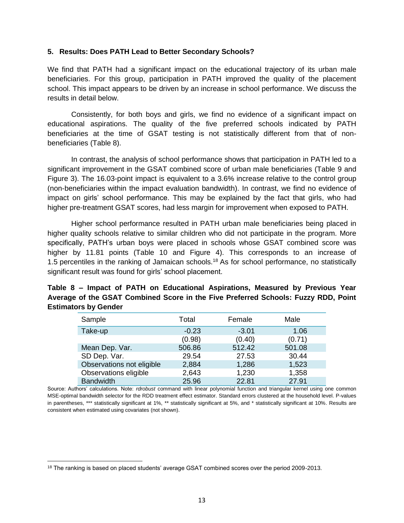#### **5. Results: Does PATH Lead to Better Secondary Schools?**

We find that PATH had a significant impact on the educational trajectory of its urban male beneficiaries. For this group, participation in PATH improved the quality of the placement school. This impact appears to be driven by an increase in school performance. We discuss the results in detail below.

Consistently, for both boys and girls, we find no evidence of a significant impact on educational aspirations. The quality of the five preferred schools indicated by PATH beneficiaries at the time of GSAT testing is not statistically different from that of nonbeneficiaries (Table 8).

In contrast, the analysis of school performance shows that participation in PATH led to a significant improvement in the GSAT combined score of urban male beneficiaries (Table 9 and Figure 3). The 16.03-point impact is equivalent to a 3.6% increase relative to the control group (non-beneficiaries within the impact evaluation bandwidth). In contrast, we find no evidence of impact on girls' school performance. This may be explained by the fact that girls, who had higher pre-treatment GSAT scores, had less margin for improvement when exposed to PATH.

Higher school performance resulted in PATH urban male beneficiaries being placed in higher quality schools relative to similar children who did not participate in the program. More specifically, PATH's urban boys were placed in schools whose GSAT combined score was higher by 11.81 points (Table 10 and Figure 4). This corresponds to an increase of 1.5 percentiles in the ranking of Jamaican schools.<sup>18</sup> As for school performance, no statistically significant result was found for girls' school placement.

**Table 8 – Impact of PATH on Educational Aspirations, Measured by Previous Year Average of the GSAT Combined Score in the Five Preferred Schools: Fuzzy RDD, Point Estimators by Gender**

| Sample                    | Total   | Female  | Male   |
|---------------------------|---------|---------|--------|
| Take-up                   | $-0.23$ | $-3.01$ | 1.06   |
|                           | (0.98)  | (0.40)  | (0.71) |
| Mean Dep. Var.            | 506.86  | 512.42  | 501.08 |
| SD Dep. Var.              | 29.54   | 27.53   | 30.44  |
| Observations not eligible | 2,884   | 1,286   | 1,523  |
| Observations eligible     | 2,643   | 1,230   | 1,358  |
| <b>Bandwidth</b>          | 25.96   | 22.81   | 27.91  |

Source: Authors' calculations. Note: *rdrobust* command with linear polynomial function and triangular kernel using one common MSE-optimal bandwidth selector for the RDD treatment effect estimator. Standard errors clustered at the household level. P-values in parentheses, \*\*\* statistically significant at 1%, \*\* statistically significant at 5%, and \* statistically significant at 10%. Results are consistent when estimated using covariates (not shown).

 $\overline{\phantom{a}}$ 

<sup>&</sup>lt;sup>18</sup> The ranking is based on placed students' average GSAT combined scores over the period 2009-2013.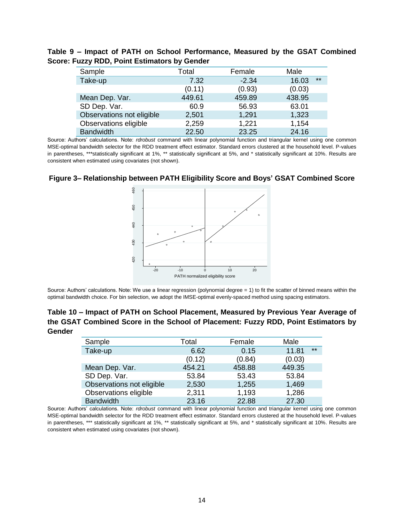**Table 9 – Impact of PATH on School Performance, Measured by the GSAT Combined Score: Fuzzy RDD, Point Estimators by Gender**

| Sample                    | Total  | Female  | Male           |
|---------------------------|--------|---------|----------------|
| Take-up                   | 7.32   | $-2.34$ | $***$<br>16.03 |
|                           | (0.11) | (0.93)  | (0.03)         |
| Mean Dep. Var.            | 449.61 | 459.89  | 438.95         |
| SD Dep. Var.              | 60.9   | 56.93   | 63.01          |
| Observations not eligible | 2,501  | 1,291   | 1,323          |
| Observations eligible     | 2,259  | 1,221   | 1,154          |
| <b>Bandwidth</b>          | 22.50  | 23.25   | 24.16          |

Source: Authors' calculations. Note: *rdrobust* command with linear polynomial function and triangular kernel using one common MSE-optimal bandwidth selector for the RDD treatment effect estimator. Standard errors clustered at the household level. P-values in parentheses, \*\*\*statistically significant at 1%, \*\* statistically significant at 5%, and \* statistically significant at 10%. Results are consistent when estimated using covariates (not shown).





Source: Authors' calculations. Note: We use a linear regression (polynomial degree = 1) to fit the scatter of binned means within the optimal bandwidth choice. For bin selection, we adopt the IMSE-optimal evenly-spaced method using spacing estimators.

## **Table 10 – Impact of PATH on School Placement, Measured by Previous Year Average of the GSAT Combined Score in the School of Placement: Fuzzy RDD, Point Estimators by Gender**

| Sample                    | Total  | Female | Male           |
|---------------------------|--------|--------|----------------|
| Take-up                   | 6.62   | 0.15   | $***$<br>11.81 |
|                           | (0.12) | (0.84) | (0.03)         |
| Mean Dep. Var.            | 454.21 | 458.88 | 449.35         |
| SD Dep. Var.              | 53.84  | 53.43  | 53.84          |
| Observations not eligible | 2,530  | 1,255  | 1,469          |
| Observations eligible     | 2,311  | 1,193  | 1,286          |
| <b>Bandwidth</b>          | 23.16  | 22.88  | 27.30          |

Source: Authors' calculations. Note: *rdrobust* command with linear polynomial function and triangular kernel using one common MSE-optimal bandwidth selector for the RDD treatment effect estimator. Standard errors clustered at the household level. P-values in parentheses, \*\*\* statistically significant at 1%, \*\* statistically significant at 5%, and \* statistically significant at 10%. Results are consistent when estimated using covariates (not shown).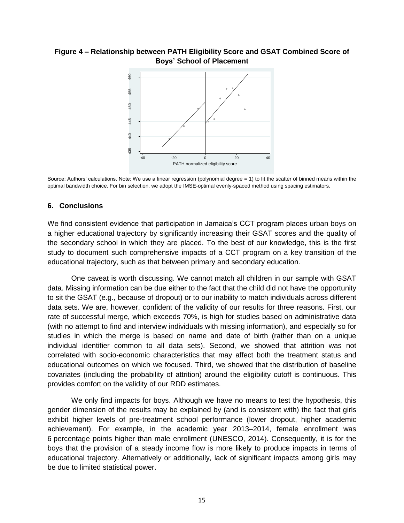## **Figure 4 – Relationship between PATH Eligibility Score and GSAT Combined Score of Boys' School of Placement**



Source: Authors' calculations. Note: We use a linear regression (polynomial degree = 1) to fit the scatter of binned means within the optimal bandwidth choice. For bin selection, we adopt the IMSE-optimal evenly-spaced method using spacing estimators.

#### **6. Conclusions**

We find consistent evidence that participation in Jamaica's CCT program places urban boys on a higher educational trajectory by significantly increasing their GSAT scores and the quality of the secondary school in which they are placed. To the best of our knowledge, this is the first study to document such comprehensive impacts of a CCT program on a key transition of the educational trajectory, such as that between primary and secondary education.

One caveat is worth discussing. We cannot match all children in our sample with GSAT data. Missing information can be due either to the fact that the child did not have the opportunity to sit the GSAT (e.g., because of dropout) or to our inability to match individuals across different data sets. We are, however, confident of the validity of our results for three reasons. First, our rate of successful merge, which exceeds 70%, is high for studies based on administrative data (with no attempt to find and interview individuals with missing information), and especially so for studies in which the merge is based on name and date of birth (rather than on a unique individual identifier common to all data sets). Second, we showed that attrition was not correlated with socio-economic characteristics that may affect both the treatment status and educational outcomes on which we focused. Third, we showed that the distribution of baseline covariates (including the probability of attrition) around the eligibility cutoff is continuous. This provides comfort on the validity of our RDD estimates.

We only find impacts for boys. Although we have no means to test the hypothesis, this gender dimension of the results may be explained by (and is consistent with) the fact that girls exhibit higher levels of pre-treatment school performance (lower dropout, higher academic achievement). For example, in the academic year 2013–2014, female enrollment was 6 percentage points higher than male enrollment (UNESCO, 2014). Consequently, it is for the boys that the provision of a steady income flow is more likely to produce impacts in terms of educational trajectory. Alternatively or additionally, lack of significant impacts among girls may be due to limited statistical power.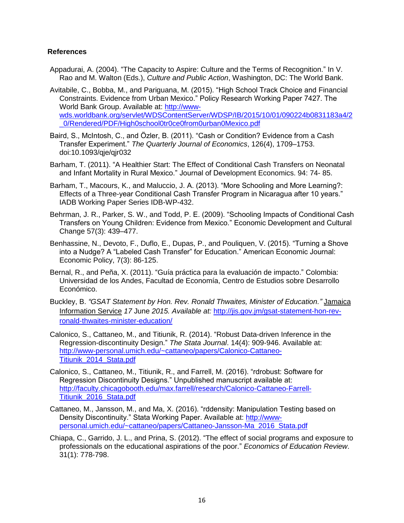#### **References**

- Appadurai, A. (2004). "The Capacity to Aspire: Culture and the Terms of Recognition." In V. Rao and M. Walton (Eds.), *Culture and Public Action*, Washington, DC: The World Bank.
- Avitabile, C., Bobba, M., and Pariguana, M. (2015). "High School Track Choice and Financial Constraints. Evidence from Urban Mexico." Policy Research Working Paper 7427. The World Bank Group. Available at: [http://www](http://www-wds.worldbank.org/servlet/WDSContentServer/WDSP/IB/2015/10/01/090224b0831183a4/2_0/Rendered/PDF/High0school0tr0ce0from0urban0Mexico.pdf)[wds.worldbank.org/servlet/WDSContentServer/WDSP/IB/2015/10/01/090224b0831183a4/2](http://www-wds.worldbank.org/servlet/WDSContentServer/WDSP/IB/2015/10/01/090224b0831183a4/2_0/Rendered/PDF/High0school0tr0ce0from0urban0Mexico.pdf) [\\_0/Rendered/PDF/High0school0tr0ce0from0urban0Mexico.pdf](http://www-wds.worldbank.org/servlet/WDSContentServer/WDSP/IB/2015/10/01/090224b0831183a4/2_0/Rendered/PDF/High0school0tr0ce0from0urban0Mexico.pdf)
- Baird, S., McIntosh, C., and Özler, B. (2011). "Cash or Condition? Evidence from a Cash Transfer Experiment." *The Quarterly Journal of Economics*, 126(4), 1709–1753. doi:10.1093/qje/qjr032
- Barham, T. (2011). "A Healthier Start: The Effect of Conditional Cash Transfers on Neonatal and Infant Mortality in Rural Mexico." Journal of Development Economics. 94: 74- 85.
- Barham, T., Macours, K., and Maluccio, J. A. (2013). "More Schooling and More Learning?: Effects of a Three-year Conditional Cash Transfer Program in Nicaragua after 10 years." IADB Working Paper Series IDB-WP-432.
- Behrman, J. R., Parker, S. W., and Todd, P. E. (2009). "Schooling Impacts of Conditional Cash Transfers on Young Children: Evidence from Mexico." Economic Development and Cultural Change 57(3): 439–477.
- Benhassine, N., Devoto, F., Duflo, E., Dupas, P., and Pouliquen, V. (2015). "Turning a Shove into a Nudge? A "Labeled Cash Transfer" for Education." American Economic Journal: Economic Policy, 7(3): 86-125.
- Bernal, R., and Peña, X. (2011). ["Guía práctica para la evaluación de impacto.](http://www.sidalc.net/cgi-bin/wxis.exe/?IsisScript=orton.xis&B1=Buscar&formato=1&cantidad=50&expresion=EVALUATION)" Colombia: Universidad de los Andes, Facultad de Economía, Centro de Estudios sobre Desarrollo Económico.
- Buckley, B. *["GSAT Statement by Hon. Rev. Ronald Thwaites, Minister of Education.](http://jis.gov.jm/gsat-statement-hon-rev-ronald-thwaites-minister-education/)"* Jamaica Information Service *17* June *2015. Available at:* [http://jis.gov.jm/gsat-statement-hon-rev](http://jis.gov.jm/gsat-statement-hon-rev-ronald-thwaites-minister-education/)[ronald-thwaites-minister-education/](http://jis.gov.jm/gsat-statement-hon-rev-ronald-thwaites-minister-education/)
- Calonico, S., Cattaneo, M., and Titiunik, R. (2014). "Robust Data-driven Inference in the Regression-discontinuity Design." *The Stata Journal*. 14(4): 909-946. Available at: [http://www-personal.umich.edu/~cattaneo/papers/Calonico-Cattaneo-](http://www-personal.umich.edu/~cattaneo/papers/Calonico-Cattaneo-Titiunik_2014_Stata.pdf)Titiunik 2014 Stata.pdf
- Calonico, S., Cattaneo, M., Titiunik, R., and Farrell, M. (2016). "rdrobust: Software for Regression Discontinuity Designs." Unpublished manuscript available at: [http://faculty.chicagobooth.edu/max.farrell/research/Calonico-Cattaneo-Farrell-](http://faculty.chicagobooth.edu/max.farrell/research/Calonico-Cattaneo-Farrell-Titiunik_2016_Stata.pdf)[Titiunik\\_2016\\_Stata.pdf](http://faculty.chicagobooth.edu/max.farrell/research/Calonico-Cattaneo-Farrell-Titiunik_2016_Stata.pdf)
- Cattaneo, M., Jansson, M., and Ma, X. (2016). "rddensity: Manipulation Testing based on Density Discontinuity." Stata Working Paper. Available at: [http://www](http://www-personal.umich.edu/~cattaneo/papers/Cattaneo-Jansson-Ma_2016_Stata.pdf)[personal.umich.edu/~cattaneo/papers/Cattaneo-Jansson-Ma\\_2016\\_Stata.pdf](http://www-personal.umich.edu/~cattaneo/papers/Cattaneo-Jansson-Ma_2016_Stata.pdf)
- Chiapa, C., Garrido, J. L., and Prina, S. (2012). "The effect of social programs and exposure to professionals on the educational aspirations of the poor." *Economics of Education Review*. 31(1): 778-798.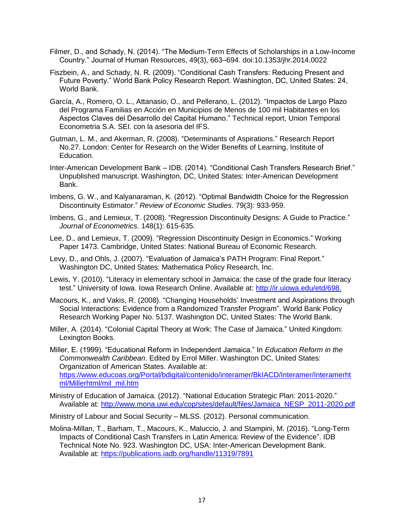- Filmer, D., and Schady, N. (2014). "The Medium-Term Effects of Scholarships in a Low-Income Country." Journal of Human Resources, 49(3), 663–694. doi:10.1353/jhr.2014.0022
- Fiszbein, A., and Schady, N. R. (2009). "Conditional Cash Transfers: Reducing Present and Future Poverty." World Bank Policy Research Report. Washington, DC, United States: 24, World Bank.
- García, A., Romero, O. L., Attanasio, O., and Pellerano, L. (2012). "Impactos de Largo Plazo del Programa Familias en Acción en Municipios de Menos de 100 mil Habitantes en los Aspectos Claves del Desarrollo del Capital Humano." Technical report, Union Temporal Econometria S.A. SEI. con la asesoria del IFS.
- Gutman, L. M., and Akerman, R. (2008). "Determinants of Aspirations." Research Report No.27. London: Center for Research on the Wider Benefits of Learning, Institute of Education.
- Inter-American Development Bank IDB. (2014). "Conditional Cash Transfers Research Brief." Unpublished manuscript. Washington, DC, United States: Inter-American Development Bank.
- Imbens, G. W., and Kalyanaraman, K. (2012). "Optimal Bandwidth Choice for the Regression Discontinuity Estimator." *Review of Economic Studies*. 79(3): 933-959.
- Imbens, G., and Lemieux, T. (2008). "Regression Discontinuity Designs: A Guide to Practice." *Journal of Econometrics*. 148(1): 615-635.
- Lee, D., and Lemieux, T. (2009). "Regression Discontinuity Design in Economics." Working Paper 1473. Cambridge, United States: National Bureau of Economic Research.
- Levy, D., and Ohls, J. (2007). "Evaluation of Jamaica's PATH Program: Final Report." Washington DC, United States: Mathematica Policy Research, Inc.
- Lewis, Y. (2010). "Literacy in elementary school in Jamaica: the case of the grade four literacy test." University of Iowa. Iowa Research Online. Available at: <http://ir.uiowa.edu/etd/698.>
- Macours, K., and Vakis, R. (2008). "Changing Households' Investment and Aspirations through Social Interactions: Evidence from a Randomized Transfer Program". World Bank Policy Research Working Paper No. 5137. Washington DC, United States: The World Bank.
- Miller, A. (2014). "Colonial Capital Theory at Work: The Case of Jamaica." United Kingdom: Lexington Books.
- Miller, E. (1999). "Educational Reform in Independent Jamaica." In *Education Reform in the Commonwealth Caribbean*. Edited by Errol Miller. Washington DC, United States: Organization of American States. Available at: [https://www.educoas.org/Portal/bdigital/contenido/interamer/BkIACD/Interamer/Interamerht](https://www.educoas.org/Portal/bdigital/contenido/interamer/BkIACD/Interamer/Interamerhtml/Millerhtml/mil_mil.htm) [ml/Millerhtml/mil\\_mil.htm](https://www.educoas.org/Portal/bdigital/contenido/interamer/BkIACD/Interamer/Interamerhtml/Millerhtml/mil_mil.htm)
- Ministry of Education of Jamaica. (2012). "National Education Strategic Plan: 2011-2020." Available at: [http://www.mona.uwi.edu/cop/sites/default/files/Jamaica\\_NESP\\_2011-2020.pdf](http://www.mona.uwi.edu/cop/sites/default/files/Jamaica_NESP_2011-2020.pdf)

Ministry of Labour and Social Security – MLSS. (2012). Personal communication.

Molina-Millan, T., Barham, T., Macours, K., Maluccio, J. and Stampini, M. (2016). "Long-Term Impacts of Conditional Cash Transfers in Latin America: Review of the Evidence". IDB Technical Note No. 923. Washington DC, USA: Inter-American Development Bank. Available at: <https://publications.iadb.org/handle/11319/7891>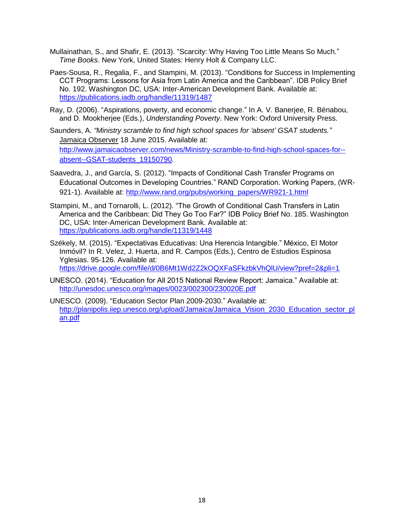- Mullainathan, S., and Shafir, E. (2013). "Scarcity: Why Having Too Little Means So Much." *Time Books*. New York, United States: Henry Holt & Company LLC.
- Paes-Sousa, R., Regalia, F., and Stampini, M. (2013). "Conditions for Success in Implementing CCT Programs: Lessons for Asia from Latin America and the Caribbean". IDB Policy Brief No. 192. Washington DC, USA: Inter-American Development Bank. Available at: <https://publications.iadb.org/handle/11319/1487>
- Ray, D. (2006). "Aspirations, poverty, and economic change." In A. V. Banerjee, R. Bénabou, and D. Mookherjee (Eds.), *Understanding Poverty*. New York: Oxford University Press.
- Saunders, A. *"Ministry scramble to find high school spaces for 'absent' GSAT students."* Jamaica Observer 18 June 2015. Available at: [http://www.jamaicaobserver.com/news/Ministry-scramble-to-find-high-school-spaces-for-](http://www.jamaicaobserver.com/news/Ministry-scramble-to-find-high-school-spaces-for--absent--GSAT-students_19150790) [absent--GSAT-students\\_19150790](http://www.jamaicaobserver.com/news/Ministry-scramble-to-find-high-school-spaces-for--absent--GSAT-students_19150790)*.*
- Saavedra, J., and García, S. (2012). "Impacts of Conditional Cash Transfer Programs on Educational Outcomes in Developing Countries." RAND Corporation. Working Papers, (WR921-1). Available at: [http://www.rand.org/pubs/working\\_papers/WR921-1.html](http://www.rand.org/pubs/working_papers/WR921-1.html)
- Stampini, M., and Tornarolli, L. (2012). "The Growth of Conditional Cash Transfers in Latin America and the Caribbean: Did They Go Too Far?" IDB Policy Brief No. 185. Washington DC, USA: Inter-American Development Bank. Available at: <https://publications.iadb.org/handle/11319/1448>
- Székely, M. (2015). "Expectativas Educativas: Una Herencia Intangible." México, El Motor Inmóvil? In R. Velez, J. Huerta, and R. Campos (Eds.), Centro de Estudios Espinosa Yglesias. 95-126. Available at: <https://drive.google.com/file/d/0B6Mt1Wd2Z2kOQXFaSFkzbkVhQlU/view?pref=2&pli=1>
- UNESCO. (2014). "Education for All 2015 National Review Report: Jamaica." Available at: <http://unesdoc.unesco.org/images/0023/002300/230020E.pdf>
- UNESCO. (2009). "Education Sector Plan 2009-2030." Available at: http://planipolis.jiep.unesco.org/upload/Jamaica/Jamaica\_Vision\_2030\_Education\_sector\_pl [an.pdf](http://planipolis.iiep.unesco.org/upload/Jamaica/Jamaica_Vision_2030_Education_sector_plan.pdf)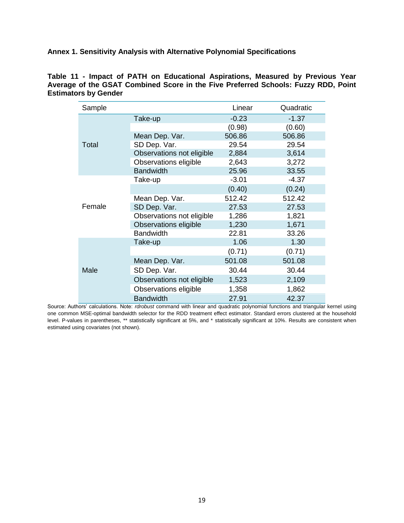#### **Annex 1. Sensitivity Analysis with Alternative Polynomial Specifications**

**Table 11 - Impact of PATH on Educational Aspirations, Measured by Previous Year Average of the GSAT Combined Score in the Five Preferred Schools: Fuzzy RDD, Point Estimators by Gender**

| Sample |                           | Linear  | Quadratic |
|--------|---------------------------|---------|-----------|
| Total  | Take-up                   | $-0.23$ | $-1.37$   |
|        |                           | (0.98)  | (0.60)    |
|        | Mean Dep. Var.            | 506.86  | 506.86    |
|        | SD Dep. Var.              | 29.54   | 29.54     |
|        | Observations not eligible | 2,884   | 3,614     |
|        | Observations eligible     | 2,643   | 3,272     |
|        | <b>Bandwidth</b>          | 25.96   | 33.55     |
|        | Take-up                   | $-3.01$ | $-4.37$   |
|        |                           | (0.40)  | (0.24)    |
|        | Mean Dep. Var.            | 512.42  | 512.42    |
| Female | SD Dep. Var.              | 27.53   | 27.53     |
|        | Observations not eligible | 1,286   | 1,821     |
|        | Observations eligible     | 1,230   | 1,671     |
|        | <b>Bandwidth</b>          | 22.81   | 33.26     |
|        | Take-up                   | 1.06    | 1.30      |
|        |                           | (0.71)  | (0.71)    |
|        | Mean Dep. Var.            | 501.08  | 501.08    |
| Male   | SD Dep. Var.              | 30.44   | 30.44     |
|        | Observations not eligible | 1,523   | 2,109     |
|        | Observations eligible     | 1,358   | 1,862     |
|        | <b>Bandwidth</b>          | 27.91   | 42.37     |

Source: Authors' calculations. Note: *rdrobust* command with linear and quadratic polynomial functions and triangular kernel using one common MSE-optimal bandwidth selector for the RDD treatment effect estimator. Standard errors clustered at the household level. P-values in parentheses, \*\* statistically significant at 5%, and \* statistically significant at 10%. Results are consistent when estimated using covariates (not shown).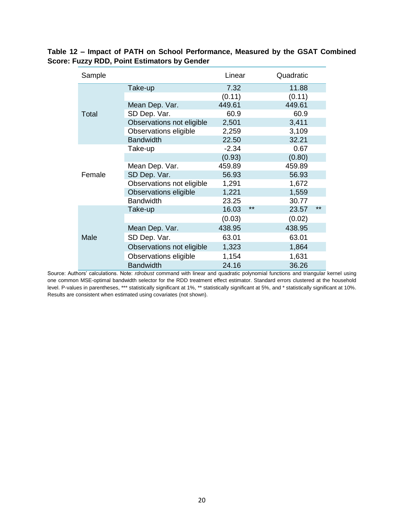| Sample |                           | Linear  |       | Quadratic |       |
|--------|---------------------------|---------|-------|-----------|-------|
|        | Take-up                   | 7.32    |       | 11.88     |       |
|        |                           | (0.11)  |       | (0.11)    |       |
|        | Mean Dep. Var.            | 449.61  |       | 449.61    |       |
| Total  | SD Dep. Var.              | 60.9    |       | 60.9      |       |
|        | Observations not eligible | 2,501   |       | 3,411     |       |
|        | Observations eligible     | 2,259   |       | 3,109     |       |
|        | <b>Bandwidth</b>          | 22.50   |       | 32.21     |       |
|        | Take-up                   | $-2.34$ |       | 0.67      |       |
|        |                           | (0.93)  |       | (0.80)    |       |
| Female | Mean Dep. Var.            | 459.89  |       | 459.89    |       |
|        | SD Dep. Var.              | 56.93   |       | 56.93     |       |
|        | Observations not eligible | 1,291   |       | 1,672     |       |
|        | Observations eligible     | 1,221   |       | 1,559     |       |
|        | <b>Bandwidth</b>          | 23.25   |       | 30.77     |       |
|        | Take-up                   | 16.03   | $***$ | 23.57     | $***$ |
|        |                           | (0.03)  |       | (0.02)    |       |
|        | Mean Dep. Var.            | 438.95  |       | 438.95    |       |
| Male   | SD Dep. Var.              | 63.01   |       | 63.01     |       |
|        | Observations not eligible | 1,323   |       | 1,864     |       |
|        | Observations eligible     | 1,154   |       | 1,631     |       |
|        | <b>Bandwidth</b>          | 24.16   |       | 36.26     |       |

## **Table 12 – Impact of PATH on School Performance, Measured by the GSAT Combined Score: Fuzzy RDD, Point Estimators by Gender**

Source: Authors' calculations. Note: *rdrobust* command with linear and quadratic polynomial functions and triangular kernel using one common MSE-optimal bandwidth selector for the RDD treatment effect estimator. Standard errors clustered at the household level. P-values in parentheses, \*\*\* statistically significant at 1%, \*\* statistically significant at 5%, and \* statistically significant at 10%. Results are consistent when estimated using covariates (not shown).